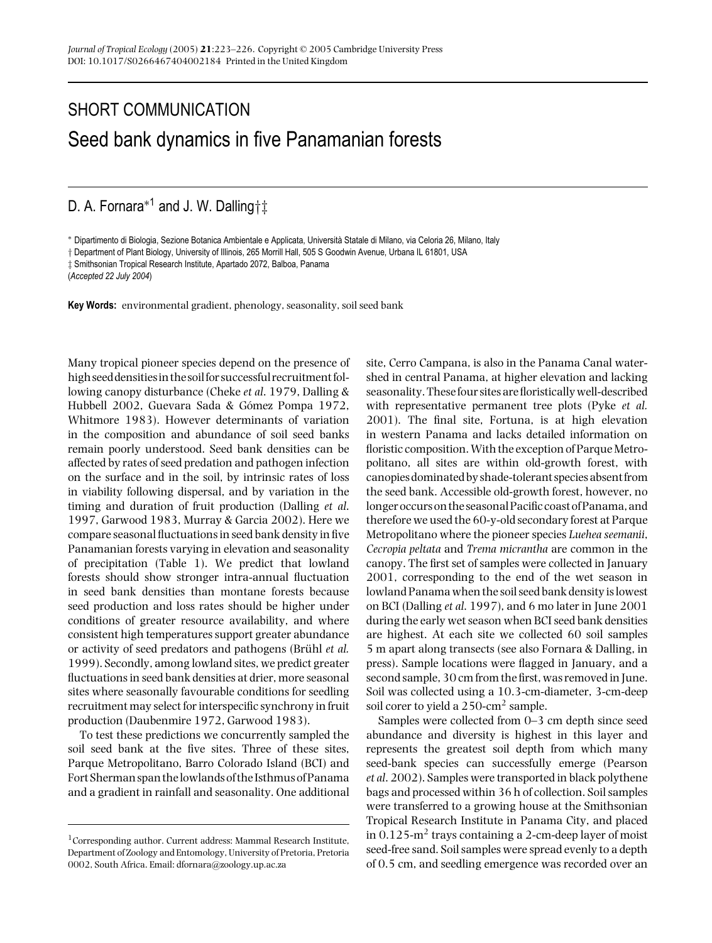## SHORT COMMUNICATION Seed bank dynamics in five Panamanian forests

D. A. Fornara<sup>∗1</sup> and J. W. Dalling†‡

∗ Dipartimento di Biologia, Sezione Botanica Ambientale e Applicata, Universita Statale di Milano, via Celoria 26, Milano, Italy `

† Department of Plant Biology, University of Illinois, 265 Morrill Hall, 505 S Goodwin Avenue, Urbana IL 61801, USA

‡ Smithsonian Tropical Research Institute, Apartado 2072, Balboa, Panama

(*Accepted 22 July 2004*)

**Key Words:** environmental gradient, phenology, seasonality, soil seed bank

Many tropical pioneer species depend on the presence of high seed densities in the soil for successful recruitment following canopy disturbance (Cheke *et al*. 1979, Dalling & Hubbell 2002, Guevara Sada & Gómez Pompa 1972, Whitmore 1983). However determinants of variation in the composition and abundance of soil seed banks remain poorly understood. Seed bank densities can be affected by rates of seed predation and pathogen infection on the surface and in the soil, by intrinsic rates of loss in viability following dispersal, and by variation in the timing and duration of fruit production (Dalling *et al*. 1997, Garwood 1983, Murray & Garcia 2002). Here we compare seasonal fluctuations in seed bank density in five Panamanian forests varying in elevation and seasonality of precipitation (Table 1). We predict that lowland forests should show stronger intra-annual fluctuation in seed bank densities than montane forests because seed production and loss rates should be higher under conditions of greater resource availability, and where consistent high temperatures support greater abundance or activity of seed predators and pathogens (Brühl *et al.*) 1999). Secondly, among lowland sites, we predict greater fluctuations in seed bank densities at drier, more seasonal sites where seasonally favourable conditions for seedling recruitment may select for interspecific synchrony in fruit production (Daubenmire 1972, Garwood 1983).

To test these predictions we concurrently sampled the soil seed bank at the five sites. Three of these sites, Parque Metropolitano, Barro Colorado Island (BCI) and Fort Sherman span thelowlands of the Isthmus of Panama and a gradient in rainfall and seasonality. One additional site, Cerro Campana, is also in the Panama Canal watershed in central Panama, at higher elevation and lacking seasonality. Thesefour sites are floristically well-described with representative permanent tree plots (Pyke *et al.* 2001). The final site, Fortuna, is at high elevation in western Panama and lacks detailed information on floristic composition.With the exception of Parque Metropolitano, all sites are within old-growth forest, with canopies dominated by shade-tolerant species absentfrom the seed bank. Accessible old-growth forest, however, no longer occurs on the seasonalPacific coast ofPanama, and therefore we used the 60-y-old secondary forest at Parque Metropolitano where the pioneer species *Luehea seemanii*, *Cecropia peltata* and *Trema micrantha* are common in the canopy. The first set of samples were collected in January 2001, corresponding to the end of the wet season in lowland Panama when the soil seed bank density is lowest on BCI (Dalling *et al*. 1997), and 6 mo later in June 2001 during the early wet season when BCI seed bank densities are highest. At each site we collected 60 soil samples 5 m apart along transects (see also Fornara & Dalling, in press). Sample locations were flagged in January, and a second sample, 30 cm from the first, was removed in June. Soil was collected using a 10.3-cm-diameter, 3-cm-deep soil corer to yield a 250-cm<sup>2</sup> sample.

Samples were collected from 0–3 cm depth since seed abundance and diversity is highest in this layer and represents the greatest soil depth from which many seed-bank species can successfully emerge (Pearson *et al*. 2002). Samples were transported in black polythene bags and processed within 36 h of collection. Soil samples were transferred to a growing house at the Smithsonian Tropical Research Institute in Panama City, and placed in  $0.125$ -m<sup>2</sup> trays containing a 2-cm-deep layer of moist seed-free sand. Soil samples were spread evenly to a depth of 0.5 cm, and seedling emergence was recorded over an

 $^1\rm{Corresponding}$  author. Current address: Mammal Research Institute, Department of Zoology and Entomology, University of Pretoria, Pretoria 0002, South Africa. Email: dfornara@zoology.up.ac.za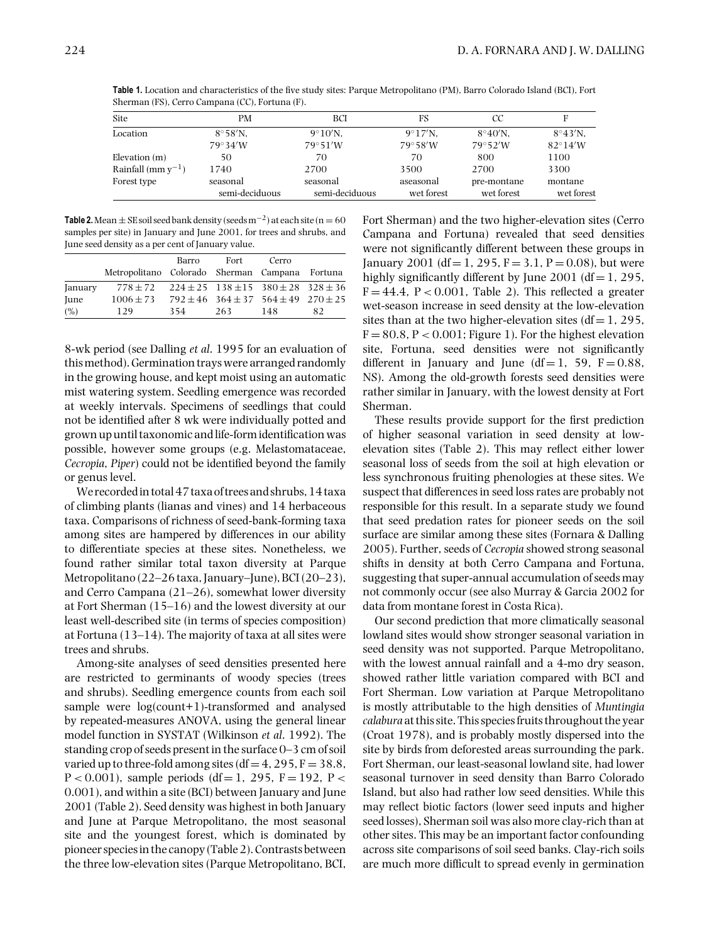**Table 1.** Location and characteristics of the five study sites: Parque Metropolitano (PM), Barro Colorado Island (BCI), Fort Sherman (FS), Cerro Campana (CC), Fortuna (F).

| Site                    | PМ                         | BCI                        | FS                        | СC                        |                       |
|-------------------------|----------------------------|----------------------------|---------------------------|---------------------------|-----------------------|
| Location                | $8^{\circ}58^{\prime}$ N,  | $9^{\circ}10^{\prime}$ N.  | $9^{\circ}17^{\prime}N$ . | $8^{\circ}40^{\prime}$ N. | $8^{\circ}43'$ N.     |
|                         | $79^\circ 34'W$            | $79^{\circ}51'W$           | $79^\circ 58'W$           | $79^\circ 52'W$           | $82^\circ14'W$        |
| Elevation $(m)$         | 50                         | 70                         | 70                        | 800                       | 1100                  |
| Rainfall (mm $y^{-1}$ ) | 1740                       | 2700                       | 3500                      | 2700                      | 3300                  |
| Forest type             | seasonal<br>semi-deciduous | seasonal<br>semi-deciduous | aseasonal<br>wet forest   | pre-montane<br>wet forest | montane<br>wet forest |

**Table 2.** Mean  $\pm$  SE soil seed bank density (seeds  $m^{-2}$ ) at each site ( $n = 60$ samples per site) in January and June 2001, for trees and shrubs, and June seed density as a per cent of January value.

|         | Metropolitano Colorado Sherman Campana Fortuna                   | Barro | Fort | Cerro                                               |    |
|---------|------------------------------------------------------------------|-------|------|-----------------------------------------------------|----|
| January | $778 \pm 72$ $224 \pm 25$ $138 \pm 15$ $380 \pm 28$ $328 \pm 36$ |       |      |                                                     |    |
| June    | $1006 \pm 73$                                                    |       |      | $792 \pm 46$ 364 $\pm$ 37 564 $\pm$ 49 270 $\pm$ 25 |    |
| (%)     | 129                                                              | 354   | 263  | 148                                                 | 82 |

8-wk period (see Dalling *et al*. 1995 for an evaluation of thismethod). Germination trays were arranged randomly in the growing house, and kept moist using an automatic mist watering system. Seedling emergence was recorded at weekly intervals. Specimens of seedlings that could not be identified after 8 wk were individually potted and grown up until taxonomic and life-form identification was possible, however some groups (e.g. Melastomataceae, *Cecropia*, *Piper*) could not be identified beyond the family or genus level.

We recordedin total 47 taxa of trees and shrubs, 14 taxa of climbing plants (lianas and vines) and 14 herbaceous taxa. Comparisons of richness of seed-bank-forming taxa among sites are hampered by differences in our ability to differentiate species at these sites. Nonetheless, we found rather similar total taxon diversity at Parque Metropolitano (22–26 taxa, January–June), BCI (20–23), and Cerro Campana (21–26), somewhat lower diversity at Fort Sherman (15–16) and the lowest diversity at our least well-described site (in terms of species composition) at Fortuna (13–14). The majority of taxa at all sites were trees and shrubs.

Among-site analyses of seed densities presented here are restricted to germinants of woody species (trees and shrubs). Seedling emergence counts from each soil sample were log(count+1)-transformed and analysed by repeated-measures ANOVA, using the general linear model function in SYSTAT (Wilkinson *et al*. 1992). The standing crop of seeds present in the surface 0–3 cm of soil varied up to three-fold among sites (df = 4, 295,  $F = 38.8$ ,  $P < 0.001$ ), sample periods (df = 1, 295, F = 192, P < 0.001), and within a site (BCI) between January and June 2001 (Table 2). Seed density was highest in both January and June at Parque Metropolitano, the most seasonal site and the youngest forest, which is dominated by pioneer speciesin the canopy (Table 2). Contrasts between the three low-elevation sites (Parque Metropolitano, BCI,

Fort Sherman) and the two higher-elevation sites (Cerro Campana and Fortuna) revealed that seed densities were not significantly different between these groups in January 2001 (df = 1, 295, F = 3.1, P = 0.08), but were highly significantly different by June 2001 (df = 1, 295,  $F = 44.4$ ,  $P < 0.001$ , Table 2). This reflected a greater wet-season increase in seed density at the low-elevation sites than at the two higher-elevation sites ( $df = 1$ , 295,  $F = 80.8$ ,  $P < 0.001$ ; Figure 1). For the highest elevation site, Fortuna, seed densities were not significantly different in January and June (df = 1, 59,  $F = 0.88$ , NS). Among the old-growth forests seed densities were rather similar in January, with the lowest density at Fort Sherman.

These results provide support for the first prediction of higher seasonal variation in seed density at lowelevation sites (Table 2). This may reflect either lower seasonal loss of seeds from the soil at high elevation or less synchronous fruiting phenologies at these sites. We suspect that differences in seed loss rates are probably not responsible for this result. In a separate study we found that seed predation rates for pioneer seeds on the soil surface are similar among these sites (Fornara & Dalling 2005). Further, seeds of *Cecropia* showed strong seasonal shifts in density at both Cerro Campana and Fortuna, suggesting that super-annual accumulation of seeds may not commonly occur (see also Murray & Garcia 2002 for data from montane forest in Costa Rica).

Our second prediction that more climatically seasonal lowland sites would show stronger seasonal variation in seed density was not supported. Parque Metropolitano, with the lowest annual rainfall and a 4-mo dry season, showed rather little variation compared with BCI and Fort Sherman. Low variation at Parque Metropolitano is mostly attributable to the high densities of *Muntingia calabura* at this site. This species fruits throughout the year (Croat 1978), and is probably mostly dispersed into the site by birds from deforested areas surrounding the park. Fort Sherman, our least-seasonal lowland site, had lower seasonal turnover in seed density than Barro Colorado Island, but also had rather low seed densities. While this may reflect biotic factors (lower seed inputs and higher seed losses), Sherman soil was also more clay-rich than at other sites. This may be an important factor confounding across site comparisons of soil seed banks. Clay-rich soils are much more difficult to spread evenly in germination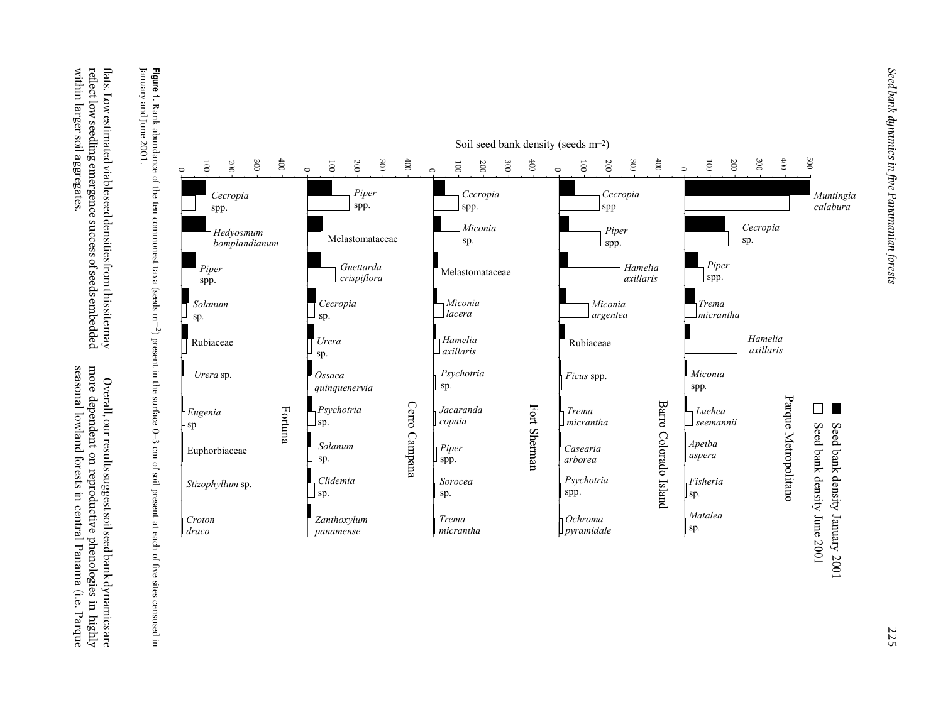seasonal lowland forests in central Panama (i.e. Parque more dependent on reproductive phenologies in highly seasonal lowland forests in central Panama (i.e. Parque more dependent on reproductive phenologies in highlyOverall, our results suggest soil seed bank dynamics are Overall, our results suggest soil seed bank dynamics are

reflect low seedling emergence success of seeds embedded flats. Low estimated viable seed densities from this site may within larger soil aggregates. reflect low seedling emergence success of seeds embedded flats. Low estimated viable seed densitiesfrom this sitemay within larger soil aggregates.

**Figure 1.** Rank abundance of the ten commonest taxa (seeds m<sup>-2</sup>) present in the surface 0–3 cm of soil present at each of five sites censused in January and June 2001. Rank abundance of the ten commonest taxa (seeds m−2). Present in the surface O–3 cm of soil present at each of the five sites censused in karbon sites censused in January and June 2001.